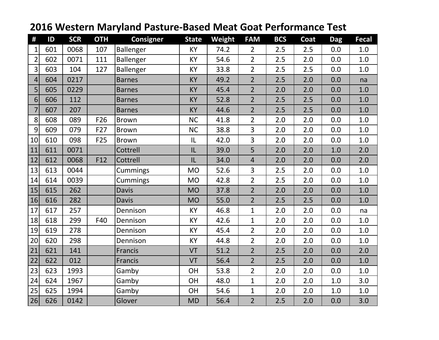| #              | ID  | <b>SCR</b> | <b>OTH</b> | <b>Consigner</b> | <b>State</b> | Weight | <b>FAM</b>     | <b>BCS</b> | Coat | <b>Dag</b> | <b>Fecal</b> |
|----------------|-----|------------|------------|------------------|--------------|--------|----------------|------------|------|------------|--------------|
| 1              | 601 | 0068       | 107        | Ballenger        | KY           | 74.2   | $\overline{2}$ | 2.5        | 2.5  | 0.0        | 1.0          |
| $\overline{2}$ | 602 | 0071       | 111        | Ballenger        | KY           | 54.6   | $\overline{2}$ | 2.5        | 2.0  | 0.0        | 1.0          |
| $\overline{3}$ | 603 | 104        | 127        | Ballenger        | KY           | 33.8   | $\overline{2}$ | 2.5        | 2.5  | 0.0        | 1.0          |
| 4              | 604 | 0217       |            | <b>Barnes</b>    | <b>KY</b>    | 49.2   | $\overline{2}$ | 2.5        | 2.0  | 0.0        | na           |
| 5              | 605 | 0229       |            | <b>Barnes</b>    | KY           | 45.4   | $\overline{2}$ | 2.0        | 2.0  | 0.0        | 1.0          |
| 6 <sup>1</sup> | 606 | 112        |            | <b>Barnes</b>    | <b>KY</b>    | 52.8   | $\overline{2}$ | 2.5        | 2.5  | 0.0        | 1.0          |
| $\overline{7}$ | 607 | 207        |            | <b>Barnes</b>    | <b>KY</b>    | 44.6   | $\overline{2}$ | 2.5        | 2.5  | 0.0        | 1.0          |
| 8              | 608 | 089        | F26        | <b>Brown</b>     | <b>NC</b>    | 41.8   | $\overline{2}$ | 2.0        | 2.0  | 0.0        | 1.0          |
| 9              | 609 | 079        | F27        | <b>Brown</b>     | <b>NC</b>    | 38.8   | 3              | 2.0        | 2.0  | 0.0        | 1.0          |
| 10             | 610 | 098        | F25        | <b>Brown</b>     | IL           | 42.0   | $\overline{3}$ | 2.0        | 2.0  | 0.0        | $1.0\,$      |
| 11             | 611 | 0071       |            | Cottrell         | IL           | 39.0   | 5              | 2.0        | 2.0  | 1.0        | 2.0          |
| 12             | 612 | 0068       | F12        | Cottrell         | IL           | 34.0   | $\overline{4}$ | 2.0        | 2.0  | 0.0        | 2.0          |
| 13             | 613 | 0044       |            | Cummings         | <b>MO</b>    | 52.6   | 3              | 2.5        | 2.0  | 0.0        | 1.0          |
| 14             | 614 | 0039       |            | Cummings         | <b>MO</b>    | 42.8   | $\overline{2}$ | 2.5        | 2.0  | 0.0        | $1.0\,$      |
| 15             | 615 | 262        |            | <b>Davis</b>     | <b>MO</b>    | 37.8   | $\overline{2}$ | 2.0        | 2.0  | 0.0        | 1.0          |
| 16             | 616 | 282        |            | <b>Davis</b>     | <b>MO</b>    | 55.0   | $\overline{2}$ | 2.5        | 2.5  | 0.0        | 1.0          |
| 17             | 617 | 257        |            | Dennison         | KY           | 46.8   | $\mathbf{1}$   | 2.0        | 2.0  | 0.0        | na           |
| 18             | 618 | 299        | F40        | Dennison         | KY           | 42.6   | $\mathbf{1}$   | 2.0        | 2.0  | 0.0        | 1.0          |
| 19             | 619 | 278        |            | Dennison         | KY           | 45.4   | $\overline{2}$ | 2.0        | 2.0  | 0.0        | 1.0          |
| $20\,$         | 620 | 298        |            | Dennison         | KY           | 44.8   | $\overline{2}$ | 2.0        | 2.0  | 0.0        | 1.0          |
| 21             | 621 | 141        |            | Francis          | VT           | 51.2   | $\overline{2}$ | 2.5        | 2.0  | 0.0        | 2.0          |
| 22             | 622 | 012        |            | Francis          | VT           | 56.4   | $\overline{2}$ | 2.5        | 2.0  | 0.0        | 1.0          |
| 23             | 623 | 1993       |            | Gamby            | OH           | 53.8   | $\overline{2}$ | 2.0        | 2.0  | 0.0        | 1.0          |
| 24             | 624 | 1967       |            | Gamby            | OH           | 48.0   | $\mathbf{1}$   | 2.0        | 2.0  | 1.0        | 3.0          |
| 25             | 625 | 1994       |            | Gamby            | <b>OH</b>    | 54.6   | $\mathbf{1}$   | 2.0        | 2.0  | 1.0        | 1.0          |
| 26             | 626 | 0142       |            | Glover           | <b>MD</b>    | 56.4   | $\overline{2}$ | 2.5        | 2.0  | 0.0        | 3.0          |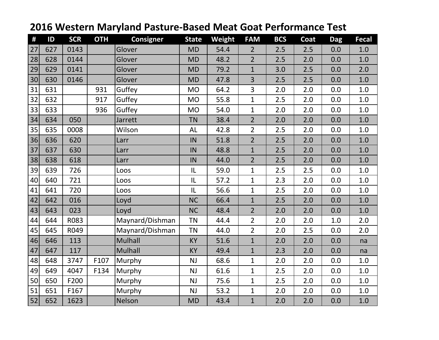| #  | ID  | <b>SCR</b> | <b>OTH</b> | <b>Consigner</b> | <b>State</b> | Weight | <b>FAM</b>     | <b>BCS</b> | Coat | <b>Dag</b> | Fecal   |
|----|-----|------------|------------|------------------|--------------|--------|----------------|------------|------|------------|---------|
| 27 | 627 | 0143       |            | Glover           | <b>MD</b>    | 54.4   | $\overline{2}$ | 2.5        | 2.5  | 0.0        | 1.0     |
| 28 | 628 | 0144       |            | Glover           | <b>MD</b>    | 48.2   | $\overline{2}$ | 2.5        | 2.0  | 0.0        | 1.0     |
| 29 | 629 | 0141       |            | Glover           | <b>MD</b>    | 79.2   | $\mathbf{1}$   | 3.0        | 2.5  | 0.0        | 2.0     |
| 30 | 630 | 0146       |            | Glover           | <b>MD</b>    | 47.8   | 3              | 2.5        | 2.5  | 0.0        | 1.0     |
| 31 | 631 |            | 931        | Guffey           | <b>MO</b>    | 64.2   | 3              | 2.0        | 2.0  | 0.0        | 1.0     |
| 32 | 632 |            | 917        | Guffey           | <b>MO</b>    | 55.8   | $\mathbf{1}$   | 2.5        | 2.0  | 0.0        | 1.0     |
| 33 | 633 |            | 936        | Guffey           | <b>MO</b>    | 54.0   | $\mathbf{1}$   | 2.0        | 2.0  | 0.0        | 1.0     |
| 34 | 634 | 050        |            | Jarrett          | <b>TN</b>    | 38.4   | $\overline{2}$ | 2.0        | 2.0  | 0.0        | 1.0     |
| 35 | 635 | 0008       |            | Wilson           | AL           | 42.8   | $\overline{2}$ | 2.5        | 2.0  | 0.0        | 1.0     |
| 36 | 636 | 620        |            | Larr             | IN           | 51.8   | $\overline{2}$ | 2.5        | 2.0  | 0.0        | $1.0\,$ |
| 37 | 637 | 630        |            | Larr             | IN           | 48.8   | $\mathbf{1}$   | 2.5        | 2.0  | 0.0        | 1.0     |
| 38 | 638 | 618        |            | Larr             | IN           | 44.0   | $\overline{2}$ | 2.5        | 2.0  | 0.0        | 1.0     |
| 39 | 639 | 726        |            | Loos             | IL           | 59.0   | $\mathbf{1}$   | 2.5        | 2.5  | 0.0        | 1.0     |
| 40 | 640 | 721        |            | Loos             | IL           | 57.2   | $\mathbf{1}$   | 2.3        | 2.0  | 0.0        | 1.0     |
| 41 | 641 | 720        |            | Loos             | IL           | 56.6   | $\mathbf{1}$   | 2.5        | 2.0  | 0.0        | 1.0     |
| 42 | 642 | 016        |            | Loyd             | <b>NC</b>    | 66.4   | $\mathbf{1}$   | 2.5        | 2.0  | 0.0        | 1.0     |
| 43 | 643 | 023        |            | Loyd             | <b>NC</b>    | 48.4   | $\overline{2}$ | 2.0        | 2.0  | 0.0        | 1.0     |
| 44 | 644 | R083       |            | Maynard/Dishman  | <b>TN</b>    | 44.4   | $\overline{2}$ | 2.0        | 2.0  | 1.0        | 2.0     |
| 45 | 645 | R049       |            | Maynard/Dishman  | <b>TN</b>    | 44.0   | $\overline{2}$ | 2.0        | 2.5  | 0.0        | 2.0     |
| 46 | 646 | 113        |            | <b>Mulhall</b>   | <b>KY</b>    | 51.6   | $\mathbf{1}$   | 2.0        | 2.0  | 0.0        | na      |
| 47 | 647 | 117        |            | <b>Mulhall</b>   | <b>KY</b>    | 49.4   | $\mathbf{1}$   | 2.3        | 2.0  | 0.0        | na      |
| 48 | 648 | 3747       | F107       | Murphy           | NJ           | 68.6   | $\mathbf{1}$   | 2.0        | 2.0  | 0.0        | $1.0\,$ |
| 49 | 649 | 4047       | F134       | Murphy           | NJ           | 61.6   | $\mathbf{1}$   | 2.5        | 2.0  | 0.0        | 1.0     |
| 50 | 650 | F200       |            | Murphy           | NJ           | 75.6   | $\mathbf{1}$   | 2.5        | 2.0  | 0.0        | 1.0     |
| 51 | 651 | F167       |            | Murphy           | NJ           | 53.2   | $\mathbf{1}$   | 2.0        | 2.0  | 0.0        | 1.0     |
| 52 | 652 | 1623       |            | Nelson           | <b>MD</b>    | 43.4   | $\mathbf{1}$   | 2.0        | 2.0  | 0.0        | 1.0     |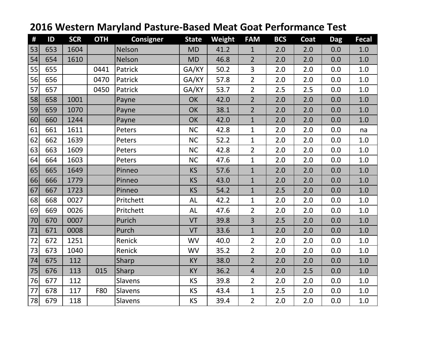| #  | ID  | <b>SCR</b> | <b>OTH</b> | <b>Consigner</b> | <b>State</b> | Weight | <b>FAM</b>     | <b>BCS</b> | Coat | <b>Dag</b> | <b>Fecal</b> |
|----|-----|------------|------------|------------------|--------------|--------|----------------|------------|------|------------|--------------|
| 53 | 653 | 1604       |            | Nelson           | <b>MD</b>    | 41.2   | $\mathbf{1}$   | 2.0        | 2.0  | 0.0        | 1.0          |
| 54 | 654 | 1610       |            | <b>Nelson</b>    | <b>MD</b>    | 46.8   | $\overline{2}$ | 2.0        | 2.0  | 0.0        | 1.0          |
| 55 | 655 |            | 0441       | Patrick          | GA/KY        | 50.2   | $\overline{3}$ | 2.0        | 2.0  | 0.0        | 1.0          |
| 56 | 656 |            | 0470       | Patrick          | GA/KY        | 57.8   | $\overline{2}$ | 2.0        | 2.0  | 0.0        | 1.0          |
| 57 | 657 |            | 0450       | Patrick          | GA/KY        | 53.7   | $\overline{2}$ | 2.5        | 2.5  | 0.0        | 1.0          |
| 58 | 658 | 1001       |            | Payne            | OK           | 42.0   | $\overline{2}$ | 2.0        | 2.0  | 0.0        | 1.0          |
| 59 | 659 | 1070       |            | Payne            | <b>OK</b>    | 38.1   | $\overline{2}$ | 2.0        | 2.0  | 0.0        | 1.0          |
| 60 | 660 | 1244       |            | Payne            | OK           | 42.0   | $\mathbf{1}$   | 2.0        | 2.0  | 0.0        | 1.0          |
| 61 | 661 | 1611       |            | Peters           | <b>NC</b>    | 42.8   | $\mathbf{1}$   | 2.0        | 2.0  | 0.0        | na           |
| 62 | 662 | 1639       |            | Peters           | <b>NC</b>    | 52.2   | $\mathbf{1}$   | 2.0        | 2.0  | 0.0        | 1.0          |
| 63 | 663 | 1609       |            | Peters           | <b>NC</b>    | 42.8   | $\overline{2}$ | 2.0        | 2.0  | 0.0        | 1.0          |
| 64 | 664 | 1603       |            | Peters           | <b>NC</b>    | 47.6   | $\mathbf{1}$   | 2.0        | 2.0  | 0.0        | 1.0          |
| 65 | 665 | 1649       |            | Pinneo           | <b>KS</b>    | 57.6   | $\mathbf{1}$   | 2.0        | 2.0  | 0.0        | 1.0          |
| 66 | 666 | 1779       |            | Pinneo           | KS           | 43.0   | $\mathbf{1}$   | 2.0        | 2.0  | 0.0        | 1.0          |
| 67 | 667 | 1723       |            | Pinneo           | <b>KS</b>    | 54.2   | $\mathbf{1}$   | 2.5        | 2.0  | 0.0        | 1.0          |
| 68 | 668 | 0027       |            | Pritchett        | AL           | 42.2   | $\mathbf{1}$   | 2.0        | 2.0  | 0.0        | 1.0          |
| 69 | 669 | 0026       |            | Pritchett        | AL           | 47.6   | $\overline{2}$ | 2.0        | 2.0  | 0.0        | 1.0          |
| 70 | 670 | 0007       |            | Purich           | VT           | 39.8   | 3              | 2.5        | 2.0  | 0.0        | 1.0          |
| 71 | 671 | 0008       |            | Purch            | VT           | 33.6   | $\mathbf{1}$   | 2.0        | 2.0  | 0.0        | 1.0          |
| 72 | 672 | 1251       |            | Renick           | <b>WV</b>    | 40.0   | $\overline{2}$ | 2.0        | 2.0  | 0.0        | 1.0          |
| 73 | 673 | 1040       |            | Renick           | <b>WV</b>    | 35.2   | $\overline{2}$ | 2.0        | 2.0  | 0.0        | 1.0          |
| 74 | 675 | 112        |            | Sharp            | <b>KY</b>    | 38.0   | $\overline{2}$ | 2.0        | 2.0  | 0.0        | 1.0          |
| 75 | 676 | 113        | 015        | Sharp            | <b>KY</b>    | 36.2   | $\overline{4}$ | 2.0        | 2.5  | 0.0        | 1.0          |
| 76 | 677 | 112        |            | Slavens          | KS           | 39.8   | $\overline{2}$ | 2.0        | 2.0  | 0.0        | 1.0          |
| 77 | 678 | 117        | F80        | Slavens          | <b>KS</b>    | 43.4   | $\mathbf{1}$   | 2.5        | 2.0  | 0.0        | 1.0          |
| 78 | 679 | 118        |            | Slavens          | KS           | 39.4   | $\overline{2}$ | 2.0        | 2.0  | 0.0        | 1.0          |